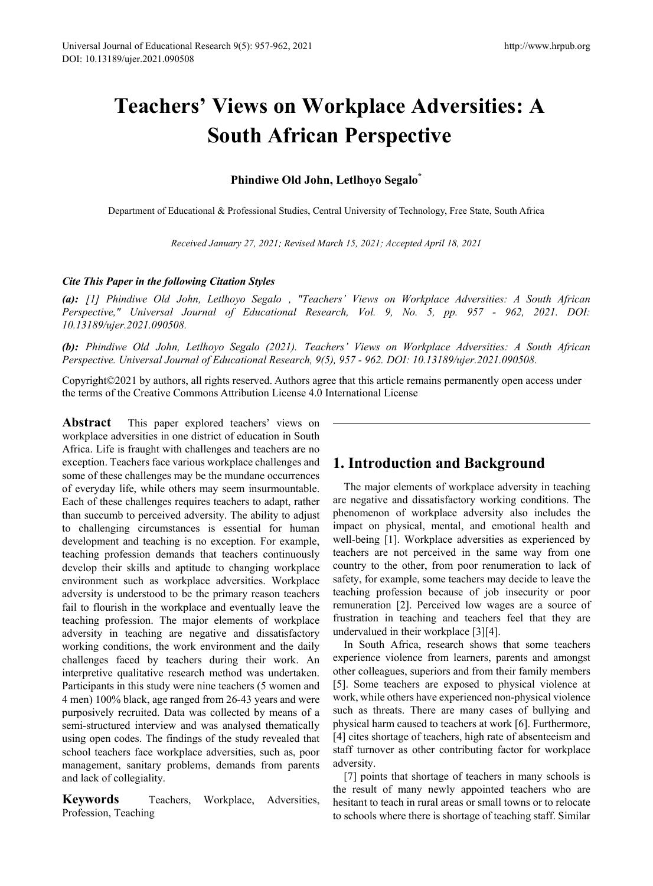# **Teachers' Views on Workplace Adversities: A South African Perspective**

## **Phindiwe Old John, Letlhoyo Segalo\***

Department of Educational & Professional Studies, Central University of Technology, Free State, South Africa

*Received January 27, 2021; Revised March 15, 2021; Accepted April 18, 2021*

## *Cite This Paper in the following Citation Styles*

*(a): [1] Phindiwe Old John, Letlhoyo Segalo , "Teachers' Views on Workplace Adversities: A South African Perspective," Universal Journal of Educational Research, Vol. 9, No. 5, pp. 957 - 962, 2021. DOI: 10.13189/ujer.2021.090508.* 

*(b): Phindiwe Old John, Letlhoyo Segalo (2021). Teachers' Views on Workplace Adversities: A South African Perspective. Universal Journal of Educational Research, 9(5), 957 - 962. DOI: 10.13189/ujer.2021.090508.* 

Copyright©2021 by authors, all rights reserved. Authors agree that this article remains permanently open access under the terms of the Creative Commons Attribution License 4.0 International License

**Abstract** This paper explored teachers' views on workplace adversities in one district of education in South Africa. Life is fraught with challenges and teachers are no exception. Teachers face various workplace challenges and some of these challenges may be the mundane occurrences of everyday life, while others may seem insurmountable. Each of these challenges requires teachers to adapt, rather than succumb to perceived adversity. The ability to adjust to challenging circumstances is essential for human development and teaching is no exception. For example, teaching profession demands that teachers continuously develop their skills and aptitude to changing workplace environment such as workplace adversities. Workplace adversity is understood to be the primary reason teachers fail to flourish in the workplace and eventually leave the teaching profession. The major elements of workplace adversity in teaching are negative and dissatisfactory working conditions, the work environment and the daily challenges faced by teachers during their work. An interpretive qualitative research method was undertaken. Participants in this study were nine teachers (5 women and 4 men) 100% black, age ranged from 26-43 years and were purposively recruited. Data was collected by means of a semi-structured interview and was analysed thematically using open codes. The findings of the study revealed that school teachers face workplace adversities, such as, poor management, sanitary problems, demands from parents and lack of collegiality.

**Keywords** Teachers, Workplace, Adversities, Profession, Teaching

# **1. Introduction and Background**

The major elements of workplace adversity in teaching are negative and dissatisfactory working conditions. The phenomenon of workplace adversity also includes the impact on physical, mental, and emotional health and well-being [1]. Workplace adversities as experienced by teachers are not perceived in the same way from one country to the other, from poor renumeration to lack of safety, for example, some teachers may decide to leave the teaching profession because of job insecurity or poor remuneration [2]. Perceived low wages are a source of frustration in teaching and teachers feel that they are undervalued in their workplace [3][4].

In South Africa, research shows that some teachers experience violence from learners, parents and amongst other colleagues, superiors and from their family members [5]. Some teachers are exposed to physical violence at work, while others have experienced non-physical violence such as threats. There are many cases of bullying and physical harm caused to teachers at work [6]. Furthermore, [4] cites shortage of teachers, high rate of absenteeism and staff turnover as other contributing factor for workplace adversity.

[7] points that shortage of teachers in many schools is the result of many newly appointed teachers who are hesitant to teach in rural areas or small towns or to relocate to schools where there is shortage of teaching staff. Similar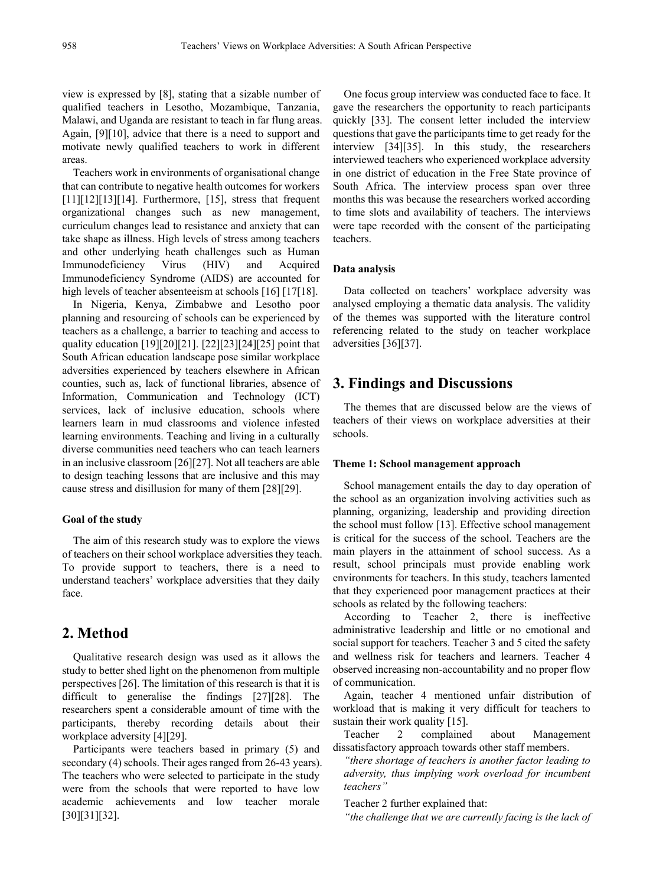view is expressed by [8], stating that a sizable number of qualified teachers in Lesotho, Mozambique, Tanzania, Malawi, and Uganda are resistant to teach in far flung areas. Again, [9][10], advice that there is a need to support and motivate newly qualified teachers to work in different areas.

Teachers work in environments of organisational change that can contribute to negative health outcomes for workers  $[11][12][13][14]$ . Furthermore, [15], stress that frequent organizational changes such as new management, curriculum changes lead to resistance and anxiety that can take shape as illness. High levels of stress among teachers and other underlying heath challenges such as Human Immunodeficiency Virus (HIV) and Acquired Immunodeficiency Syndrome (AIDS) are accounted for high levels of teacher absenteeism at schools [16] [17[18].

In Nigeria, Kenya, Zimbabwe and Lesotho poor planning and resourcing of schools can be experienced by teachers as a challenge, a barrier to teaching and access to quality education [19][20][21]. [22][23][24][25] point that South African education landscape pose similar workplace adversities experienced by teachers elsewhere in African counties, such as, lack of functional libraries, absence of Information, Communication and Technology (ICT) services, lack of inclusive education, schools where learners learn in mud classrooms and violence infested learning environments. Teaching and living in a culturally diverse communities need teachers who can teach learners in an inclusive classroom [26][27]. Not all teachers are able to design teaching lessons that are inclusive and this may cause stress and disillusion for many of them [28][29].

#### **Goal of the study**

The aim of this research study was to explore the views of teachers on their school workplace adversities they teach. To provide support to teachers, there is a need to understand teachers' workplace adversities that they daily face.

## **2. Method**

Qualitative research design was used as it allows the study to better shed light on the phenomenon from multiple perspectives [26]. The limitation of this research is that it is difficult to generalise the findings [27][28]. The researchers spent a considerable amount of time with the participants, thereby recording details about their workplace adversity [4][29].

Participants were teachers based in primary (5) and secondary (4) schools. Their ages ranged from 26-43 years). The teachers who were selected to participate in the study were from the schools that were reported to have low academic achievements and low teacher morale [30][31][32].

One focus group interview was conducted face to face. It gave the researchers the opportunity to reach participants quickly [33]. The consent letter included the interview questions that gave the participants time to get ready for the interview [34][35]. In this study, the researchers interviewed teachers who experienced workplace adversity in one district of education in the Free State province of South Africa. The interview process span over three months this was because the researchers worked according to time slots and availability of teachers. The interviews were tape recorded with the consent of the participating teachers.

#### **Data analysis**

Data collected on teachers' workplace adversity was analysed employing a thematic data analysis. The validity of the themes was supported with the literature control referencing related to the study on teacher workplace adversities [36][37].

## **3. Findings and Discussions**

The themes that are discussed below are the views of teachers of their views on workplace adversities at their schools.

#### **Theme 1: School management approach**

School management entails the day to day operation of the school as an organization involving activities such as planning, organizing, leadership and providing direction the school must follow [13]. Effective school management is critical for the success of the school. Teachers are the main players in the attainment of school success. As a result, school principals must provide enabling work environments for teachers. In this study, teachers lamented that they experienced poor management practices at their schools as related by the following teachers:

According to Teacher 2, there is ineffective administrative leadership and little or no emotional and social support for teachers. Teacher 3 and 5 cited the safety and wellness risk for teachers and learners. Teacher 4 observed increasing non-accountability and no proper flow of communication.

Again, teacher 4 mentioned unfair distribution of workload that is making it very difficult for teachers to sustain their work quality [15].

Teacher 2 complained about Management dissatisfactory approach towards other staff members.

*"there shortage of teachers is another factor leading to adversity, thus implying work overload for incumbent teachers"* 

Teacher 2 further explained that:

*"the challenge that we are currently facing is the lack of*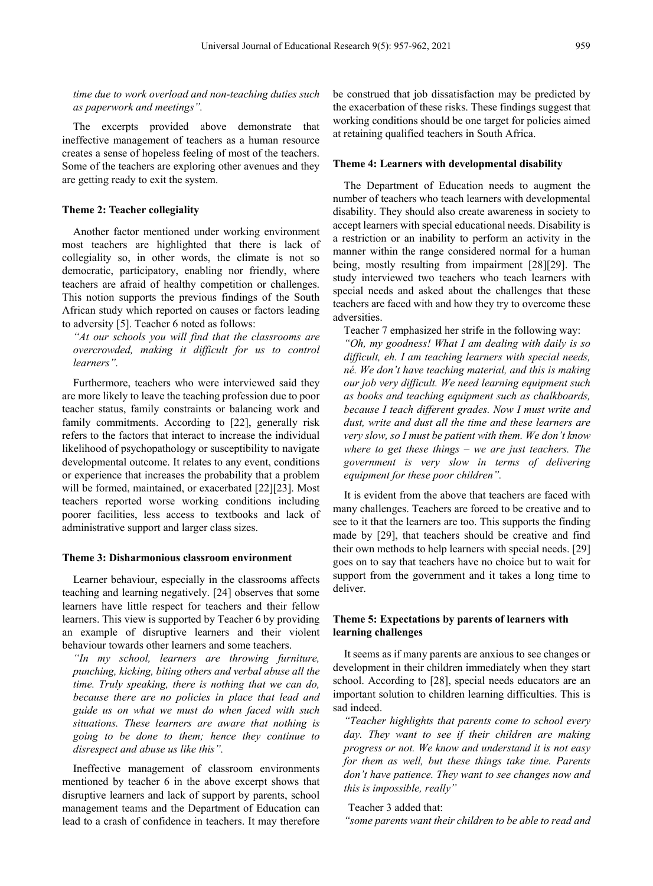*time due to work overload and non-teaching duties such as paperwork and meetings".*

The excerpts provided above demonstrate that ineffective management of teachers as a human resource creates a sense of hopeless feeling of most of the teachers. Some of the teachers are exploring other avenues and they are getting ready to exit the system.

#### **Theme 2: Teacher collegiality**

Another factor mentioned under working environment most teachers are highlighted that there is lack of collegiality so, in other words, the climate is not so democratic, participatory, enabling nor friendly, where teachers are afraid of healthy competition or challenges. This notion supports the previous findings of the South African study which reported on causes or factors leading to adversity [5]. Teacher 6 noted as follows:

*"At our schools you will find that the classrooms are overcrowded, making it difficult for us to control learners".*

Furthermore, teachers who were interviewed said they are more likely to leave the teaching profession due to poor teacher status, family constraints or balancing work and family commitments. According to [22], generally risk refers to the factors that interact to increase the individual likelihood of psychopathology or susceptibility to navigate developmental outcome. It relates to any event, conditions or experience that increases the probability that a problem will be formed, maintained, or exacerbated [22][23]. Most teachers reported worse working conditions including poorer facilities, less access to textbooks and lack of administrative support and larger class sizes.

#### **Theme 3: Disharmonious classroom environment**

Learner behaviour, especially in the classrooms affects teaching and learning negatively. [24] observes that some learners have little respect for teachers and their fellow learners. This view is supported by Teacher 6 by providing an example of disruptive learners and their violent behaviour towards other learners and some teachers.

*"In my school, learners are throwing furniture, punching, kicking, biting others and verbal abuse all the time. Truly speaking, there is nothing that we can do, because there are no policies in place that lead and guide us on what we must do when faced with such situations. These learners are aware that nothing is going to be done to them; hence they continue to disrespect and abuse us like this".*

Ineffective management of classroom environments mentioned by teacher 6 in the above excerpt shows that disruptive learners and lack of support by parents, school management teams and the Department of Education can lead to a crash of confidence in teachers. It may therefore be construed that job dissatisfaction may be predicted by the exacerbation of these risks. These findings suggest that working conditions should be one target for policies aimed at retaining qualified teachers in South Africa.

#### **Theme 4: Learners with developmental disability**

The Department of Education needs to augment the number of teachers who teach learners with developmental disability. They should also create awareness in society to accept learners with special educational needs. Disability is a restriction or an inability to perform an activity in the manner within the range considered normal for a human being, mostly resulting from impairment [28][29]. The study interviewed two teachers who teach learners with special needs and asked about the challenges that these teachers are faced with and how they try to overcome these adversities.

Teacher 7 emphasized her strife in the following way:

*"Oh, my goodness! What I am dealing with daily is so difficult, eh. I am teaching learners with special needs, né. We don't have teaching material, and this is making our job very difficult. We need learning equipment such as books and teaching equipment such as chalkboards, because I teach different grades. Now I must write and dust, write and dust all the time and these learners are very slow, so I must be patient with them. We don't know where to get these things – we are just teachers. The government is very slow in terms of delivering equipment for these poor children".*

It is evident from the above that teachers are faced with many challenges. Teachers are forced to be creative and to see to it that the learners are too. This supports the finding made by [29], that teachers should be creative and find their own methods to help learners with special needs. [29] goes on to say that teachers have no choice but to wait for support from the government and it takes a long time to deliver.

### **Theme 5: Expectations by parents of learners with learning challenges**

It seems as if many parents are anxious to see changes or development in their children immediately when they start school. According to [28], special needs educators are an important solution to children learning difficulties. This is sad indeed.

*"Teacher highlights that parents come to school every day. They want to see if their children are making progress or not. We know and understand it is not easy for them as well, but these things take time. Parents don't have patience. They want to see changes now and this is impossible, really"*

#### Teacher 3 added that:

*"some parents want their children to be able to read and*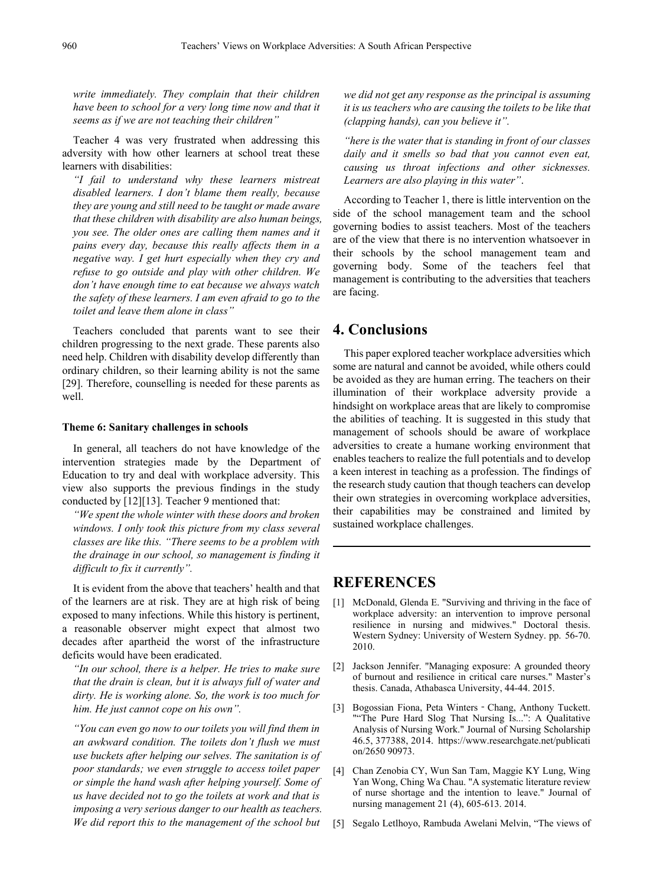*write immediately. They complain that their children have been to school for a very long time now and that it seems as if we are not teaching their children"*

Teacher 4 was very frustrated when addressing this adversity with how other learners at school treat these learners with disabilities:

*"I fail to understand why these learners mistreat disabled learners. I don't blame them really, because they are young and still need to be taught or made aware that these children with disability are also human beings, you see. The older ones are calling them names and it pains every day, because this really affects them in a negative way. I get hurt especially when they cry and refuse to go outside and play with other children. We don't have enough time to eat because we always watch the safety of these learners. I am even afraid to go to the toilet and leave them alone in class"*

Teachers concluded that parents want to see their children progressing to the next grade. These parents also need help. Children with disability develop differently than ordinary children, so their learning ability is not the same [29]. Therefore, counselling is needed for these parents as well.

#### **Theme 6: Sanitary challenges in schools**

In general, all teachers do not have knowledge of the intervention strategies made by the Department of Education to try and deal with workplace adversity. This view also supports the previous findings in the study conducted by [12][13]. Teacher 9 mentioned that:

*"We spent the whole winter with these doors and broken windows. I only took this picture from my class several classes are like this. "There seems to be a problem with the drainage in our school, so management is finding it difficult to fix it currently".* 

It is evident from the above that teachers' health and that of the learners are at risk. They are at high risk of being exposed to many infections. While this history is pertinent, a reasonable observer might expect that almost two decades after apartheid the worst of the infrastructure deficits would have been eradicated.

*"In our school, there is a helper. He tries to make sure that the drain is clean, but it is always full of water and dirty. He is working alone. So, the work is too much for him. He just cannot cope on his own".*

*"You can even go now to our toilets you will find them in an awkward condition. The toilets don't flush we must use buckets after helping our selves. The sanitation is of poor standards; we even struggle to access toilet paper or simple the hand wash after helping yourself. Some of us have decided not to go the toilets at work and that is imposing a very serious danger to our health as teachers. We did report this to the management of the school but* 

*we did not get any response as the principal is assuming it is us teachers who are causing the toilets to be like that (clapping hands), can you believe it".*

*"here is the water that is standing in front of our classes daily and it smells so bad that you cannot even eat, causing us throat infections and other sicknesses. Learners are also playing in this water"*.

According to Teacher 1, there is little intervention on the side of the school management team and the school governing bodies to assist teachers. Most of the teachers are of the view that there is no intervention whatsoever in their schools by the school management team and governing body. Some of the teachers feel that management is contributing to the adversities that teachers are facing.

## **4. Conclusions**

This paper explored teacher workplace adversities which some are natural and cannot be avoided, while others could be avoided as they are human erring. The teachers on their illumination of their workplace adversity provide a hindsight on workplace areas that are likely to compromise the abilities of teaching. It is suggested in this study that management of schools should be aware of workplace adversities to create a humane working environment that enables teachers to realize the full potentials and to develop a keen interest in teaching as a profession. The findings of the research study caution that though teachers can develop their own strategies in overcoming workplace adversities, their capabilities may be constrained and limited by sustained workplace challenges.

## **REFERENCES**

- [1] McDonald, Glenda E. "Surviving and thriving in the face of workplace adversity: an intervention to improve personal resilience in nursing and midwives." Doctoral thesis. Western Sydney: University of Western Sydney. pp. 56-70. 2010.
- [2] Jackson Jennifer. "Managing exposure: A grounded theory of burnout and resilience in critical care nurses." Master's thesis. Canada, Athabasca University, 44-44. 2015.
- [3] Bogossian Fiona, Peta Winters Chang, Anthony Tuckett. ""The Pure Hard Slog That Nursing Is...": A Qualitative Analysis of Nursing Work." Journal of Nursing Scholarship 46.5, 377388, 2014. https://www.researchgate.net/publicati on/2650 90973.
- [4] Chan Zenobia CY, Wun San Tam, Maggie KY Lung, Wing Yan Wong, Ching Wa Chau. "A systematic literature review of nurse shortage and the intention to leave." Journal of nursing management 21 (4), 605-613. 2014.
- [5] Segalo Letlhoyo, Rambuda Awelani Melvin, "The views of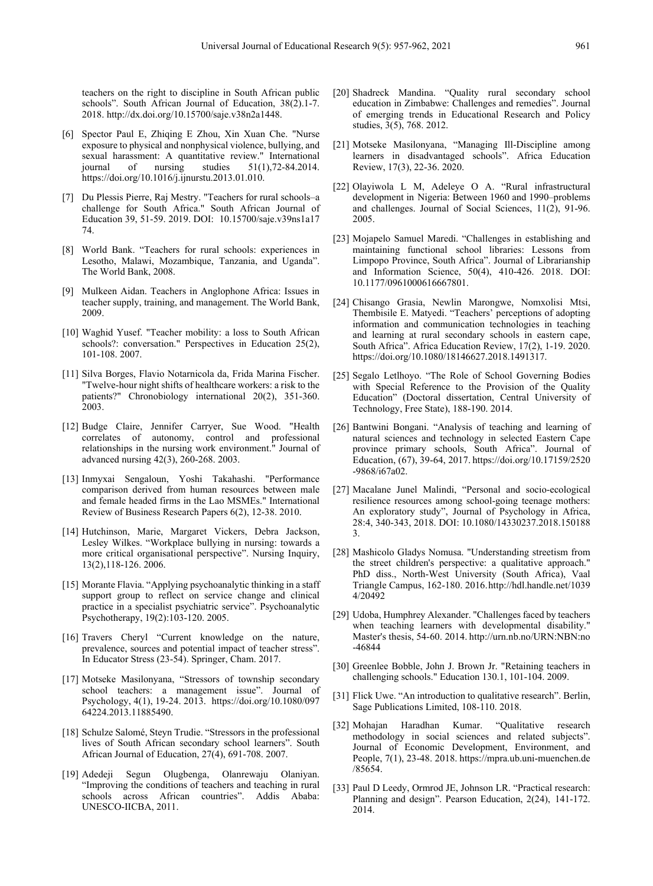teachers on the right to discipline in South African public schools". South African Journal of Education, 38(2).1-7. 2018. http://dx.doi.org/10.15700/saje.v38n2a1448.

- [6] Spector Paul E, Zhiqing E Zhou, Xin Xuan Che. "Nurse exposure to physical and nonphysical violence, bullying, and sexual harassment: A quantitative review." International<br>journal of nursing studies  $51(1)$ ,72-84.2014.  $51(1)$ ,72-84.2014. https://doi.org/10.1016/j.ijnurstu.2013.01.010.
- [7] Du Plessis Pierre, Raj Mestry. "Teachers for rural schools–a challenge for South Africa." South African Journal of Education 39, 51-59. 2019. DOI: 10.15700/saje.v39ns1a17 74.
- [8] World Bank. "Teachers for rural schools: experiences in Lesotho, Malawi, Mozambique, Tanzania, and Uganda". The World Bank, 2008.
- [9] Mulkeen Aidan. Teachers in Anglophone Africa: Issues in teacher supply, training, and management. The World Bank, 2009.
- [10] Waghid Yusef. "Teacher mobility: a loss to South African schools?: conversation." Perspectives in Education 25(2), 101-108. 2007.
- [11] Silva Borges, Flavio Notarnicola da, Frida Marina Fischer. "Twelve-hour night shifts of healthcare workers: a risk to the patients?" Chronobiology international 20(2), 351-360. 2003.
- [12] Budge Claire, Jennifer Carryer, Sue Wood. "Health correlates of autonomy, control and professional relationships in the nursing work environment." Journal of advanced nursing 42(3), 260-268. 2003.
- [13] Inmyxai Sengaloun, Yoshi Takahashi. "Performance comparison derived from human resources between male and female headed firms in the Lao MSMEs." International Review of Business Research Papers 6(2), 12-38. 2010.
- [14] Hutchinson, Marie, Margaret Vickers, Debra Jackson, Lesley Wilkes. "Workplace bullying in nursing: towards a more critical organisational perspective". Nursing Inquiry, 13(2),118-126. 2006.
- [15] Morante Flavia. "Applying psychoanalytic thinking in a staff support group to reflect on service change and clinical practice in a specialist psychiatric service". Psychoanalytic Psychotherapy, 19(2):103-120. 2005.
- [16] Travers Cheryl "Current knowledge on the nature, prevalence, sources and potential impact of teacher stress". In Educator Stress (23-54). Springer, Cham. 2017.
- [17] Motseke Masilonyana, "Stressors of township secondary school teachers: a management issue". Journal of Psychology, 4(1), 19-24. 2013. https://doi.org/10.1080/097 64224.2013.11885490.
- [18] Schulze Salomé, Steyn Trudie. "Stressors in the professional lives of South African secondary school learners". South African Journal of Education, 27(4), 691-708. 2007.
- [19] Adedeji Segun Olugbenga, Olanrewaju Olaniyan. "Improving the conditions of teachers and teaching in rural schools across African countries". Addis Ababa: UNESCO-IICBA, 2011.
- [20] Shadreck Mandina. "Quality rural secondary school education in Zimbabwe: Challenges and remedies". Journal of emerging trends in Educational Research and Policy studies, 3(5), 768. 2012.
- [21] Motseke Masilonyana, "Managing Ill-Discipline among learners in disadvantaged schools". Africa Education Review, 17(3), 22-36. 2020.
- [22] Olayiwola L M, Adeleye O A. "Rural infrastructural development in Nigeria: Between 1960 and 1990–problems and challenges. Journal of Social Sciences, 11(2), 91-96. 2005.
- [23] Mojapelo Samuel Maredi. "Challenges in establishing and maintaining functional school libraries: Lessons from Limpopo Province, South Africa". Journal of Librarianship and Information Science, 50(4), 410-426. 2018. DOI: 10.1177/0961000616667801.
- [24] Chisango Grasia, Newlin Marongwe, Nomxolisi Mtsi, Thembisile E. Matyedi. "Teachers' perceptions of adopting information and communication technologies in teaching and learning at rural secondary schools in eastern cape, South Africa". Africa Education Review, 17(2), 1-19. 2020. https://doi.org/10.1080/18146627.2018.1491317.
- [25] Segalo Letlhoyo. "The Role of School Governing Bodies with Special Reference to the Provision of the Quality Education" (Doctoral dissertation, Central University of Technology, Free State), 188-190. 2014.
- [26] Bantwini Bongani. "Analysis of teaching and learning of natural sciences and technology in selected Eastern Cape province primary schools, South Africa". Journal of Education, (67), 39-64, 2017. https://doi.org/10.17159/2520 -9868/i67a02.
- [27] Macalane Junel Malindi, "Personal and socio-ecological resilience resources among school-going teenage mothers: An exploratory study", Journal of Psychology in Africa, 28:4, 340-343, 2018. DOI: 10.1080/14330237.2018.150188 3.
- [28] Mashicolo Gladys Nomusa. "Understanding streetism from the street children's perspective: a qualitative approach." PhD diss., North-West University (South Africa), Vaal Triangle Campus, 162-180. 2016.http://hdl.handle.net/1039 4/20492
- [29] Udoba, Humphrey Alexander. "Challenges faced by teachers when teaching learners with developmental disability." Master's thesis, 54-60. 2014. http://urn.nb.no/URN:NBN:no -46844
- [30] Greenlee Bobble, John J. Brown Jr. "Retaining teachers in challenging schools." Education 130.1, 101-104. 2009.
- [31] Flick Uwe. "An introduction to qualitative research". Berlin, Sage Publications Limited, 108-110. 2018.
- [32] Mohajan Haradhan Kumar. "Qualitative research methodology in social sciences and related subjects". Journal of Economic Development, Environment, and People, 7(1), 23-48. 2018. https://mpra.ub.uni-muenchen.de /85654.
- [33] Paul D Leedy, Ormrod JE, Johnson LR. "Practical research: Planning and design". Pearson Education, 2(24), 141-172. 2014.